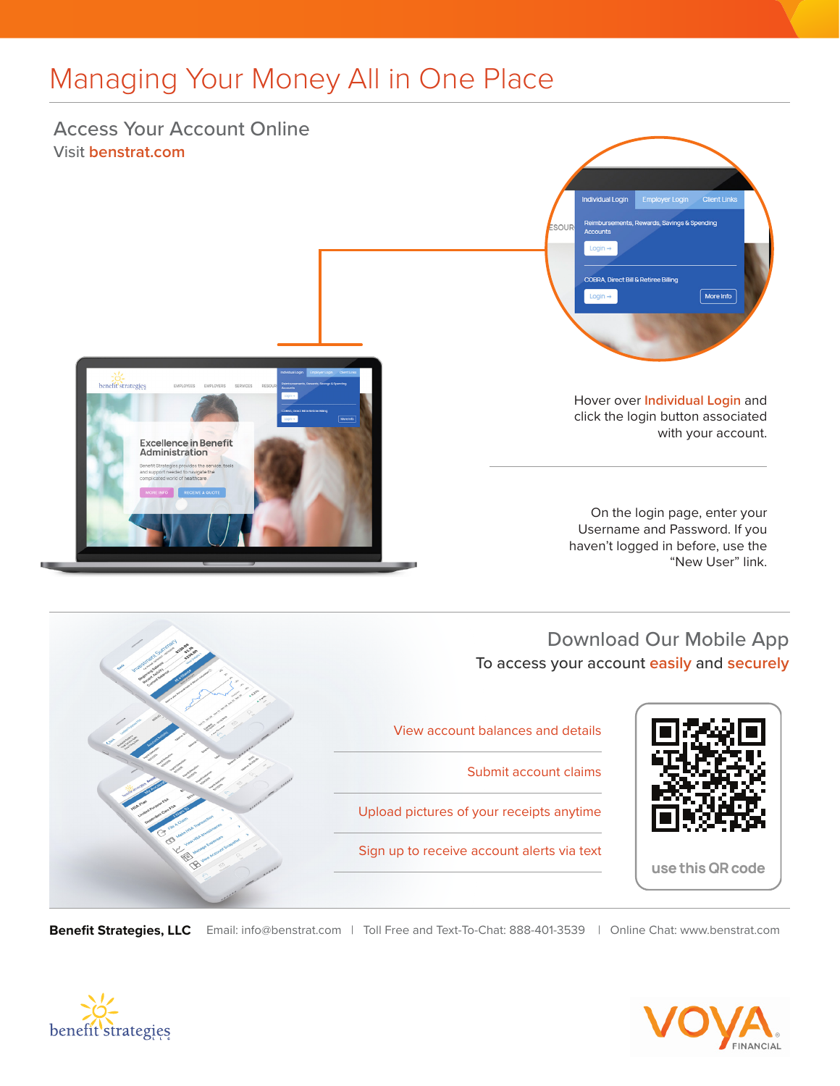# Managing Your Money All in One Place

### Access Your Account Online Visit **benstrat.com**

**Excellence in Benefit** Administration

benefit strategies



Hover over **Individual Login** and click the login button associated with your account.

On the login page, enter your Username and Password. If you haven't logged in before, use the "New User" link.

#### Download Our Mobile App To access your account **easily** and **securely**



**Benefit Strategies, LLC** Email: info@benstrat.com | Toll Free and Text-To-Chat: 888-401-3539 | Online Chat: www.benstrat.com







View account balances and details

Submit account claims

Upload pictures of your receipts anytime

Sign up to receive account alerts via text